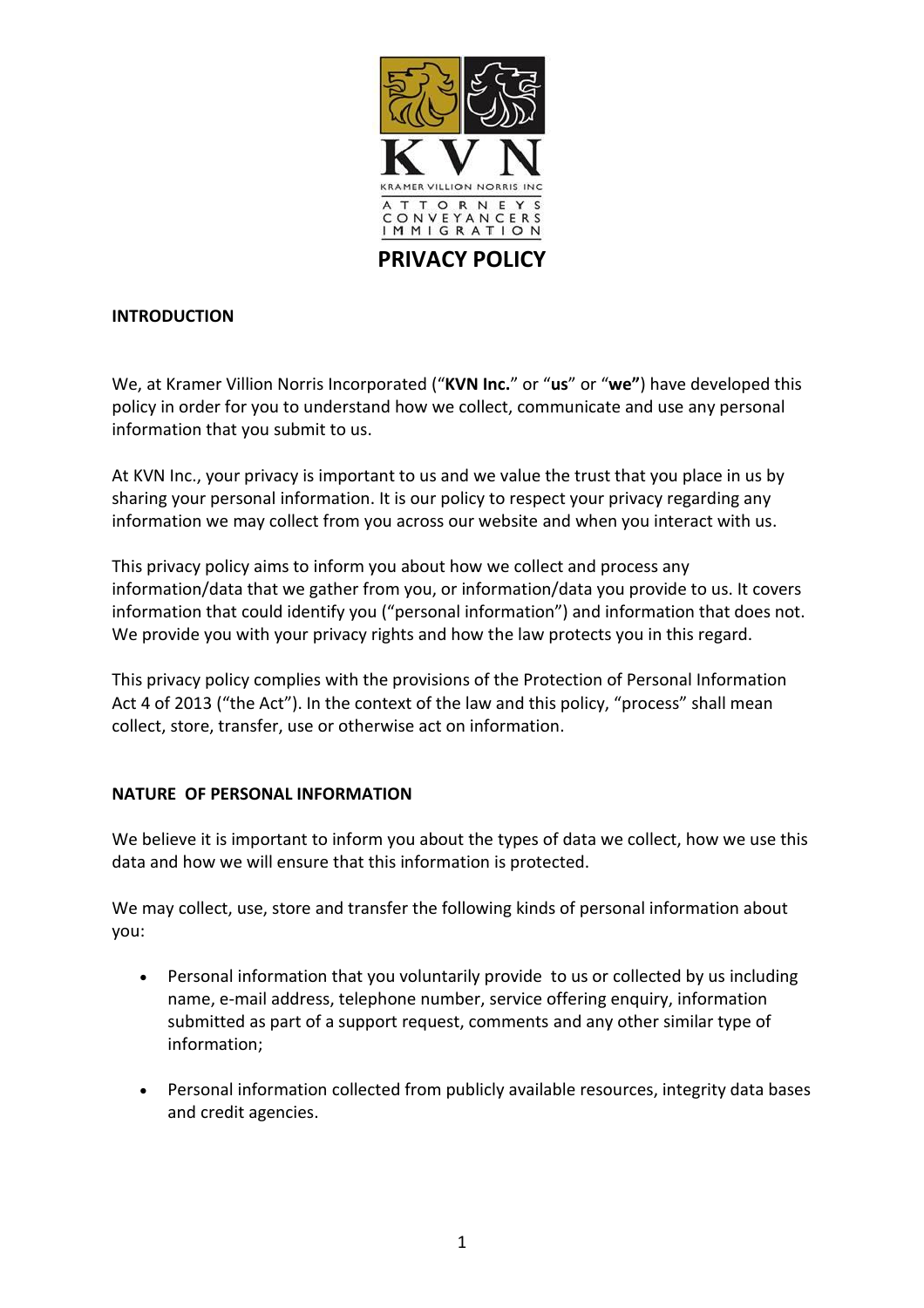

# **INTRODUCTION**

We, at Kramer Villion Norris Incorporated ("**KVN Inc.**" or "**us**" or "**we"**) have developed this policy in order for you to understand how we collect, communicate and use any personal information that you submit to us.

At KVN Inc., your privacy is important to us and we value the trust that you place in us by sharing your personal information. It is our policy to respect your privacy regarding any information we may collect from you across our website and when you interact with us.

This privacy policy aims to inform you about how we collect and process any information/data that we gather from you, or information/data you provide to us. It covers information that could identify you ("personal information") and information that does not. We provide you with your privacy rights and how the law protects you in this regard.

This privacy policy complies with the provisions of the Protection of Personal Information Act 4 of 2013 ("the Act"). In the context of the law and this policy, "process" shall mean collect, store, transfer, use or otherwise act on information.

# **NATURE OF PERSONAL INFORMATION**

We believe it is important to inform you about the types of data we collect, how we use this data and how we will ensure that this information is protected.

We may collect, use, store and transfer the following kinds of personal information about you:

- Personal information that you voluntarily provide to us or collected by us including name, e-mail address, telephone number, service offering enquiry, information submitted as part of a support request, comments and any other similar type of information;
- Personal information collected from publicly available resources, integrity data bases and credit agencies.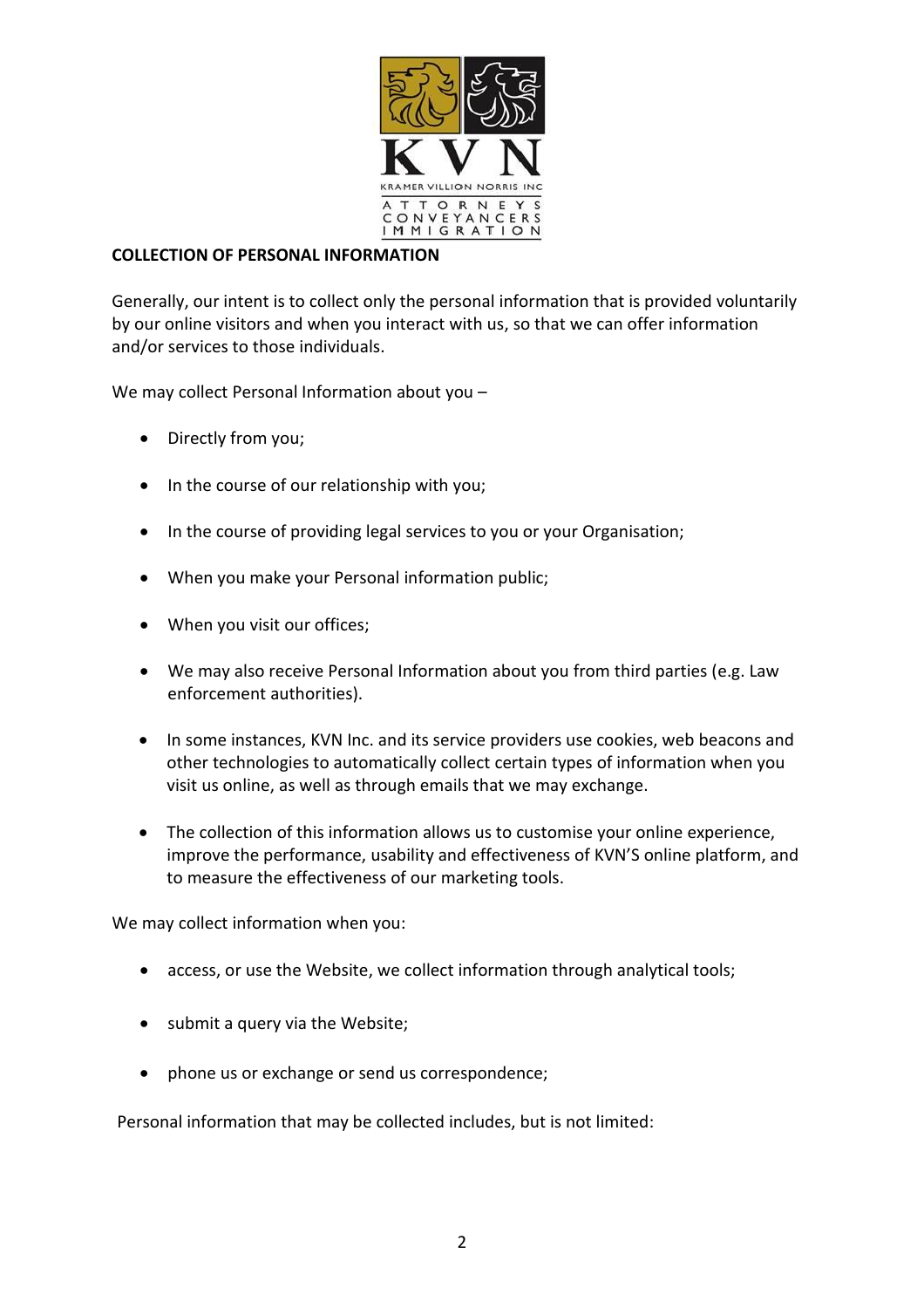

### **COLLECTION OF PERSONAL INFORMATION**

Generally, our intent is to collect only the personal information that is provided voluntarily by our online visitors and when you interact with us, so that we can offer information and/or services to those individuals.

We may collect Personal Information about you –

- Directly from you;
- In the course of our relationship with you;
- In the course of providing legal services to you or your Organisation;
- When you make your Personal information public;
- When you visit our offices;
- We may also receive Personal Information about you from third parties (e.g. Law enforcement authorities).
- In some instances, KVN Inc. and its service providers use cookies, web beacons and other technologies to automatically collect certain types of information when you visit us online, as well as through emails that we may exchange.
- The collection of this information allows us to customise your online experience, improve the performance, usability and effectiveness of KVN'S online platform, and to measure the effectiveness of our marketing tools.

We may collect information when you:

- access, or use the Website, we collect information through analytical tools;
- submit a query via the Website;
- phone us or exchange or send us correspondence;

Personal information that may be collected includes, but is not limited: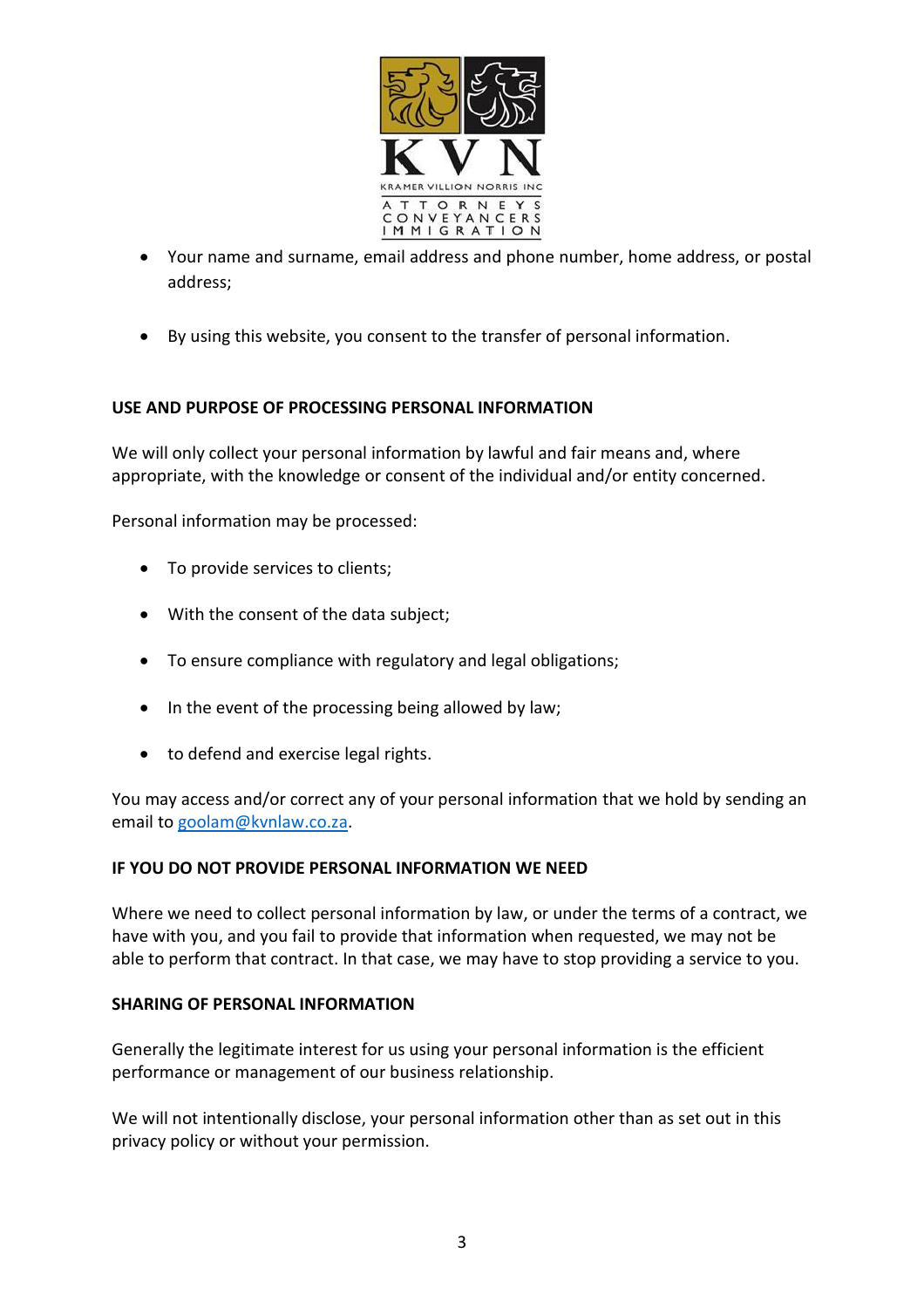

- Your name and surname, email address and phone number, home address, or postal address;
- By using this website, you consent to the transfer of personal information.

# **USE AND PURPOSE OF PROCESSING PERSONAL INFORMATION**

We will only collect your personal information by lawful and fair means and, where appropriate, with the knowledge or consent of the individual and/or entity concerned.

Personal information may be processed:

- To provide services to clients;
- With the consent of the data subject;
- To ensure compliance with regulatory and legal obligations;
- In the event of the processing being allowed by law;
- to defend and exercise legal rights.

You may access and/or correct any of your personal information that we hold by sending an email to [goolam@kvnlaw.co.za.](mailto:goolam@kvnlaw.co.za)

### **IF YOU DO NOT PROVIDE PERSONAL INFORMATION WE NEED**

Where we need to collect personal information by law, or under the terms of a contract, we have with you, and you fail to provide that information when requested, we may not be able to perform that contract. In that case, we may have to stop providing a service to you.

### **SHARING OF PERSONAL INFORMATION**

Generally the legitimate interest for us using your personal information is the efficient performance or management of our business relationship.

We will not intentionally disclose, your personal information other than as set out in this privacy policy or without your permission.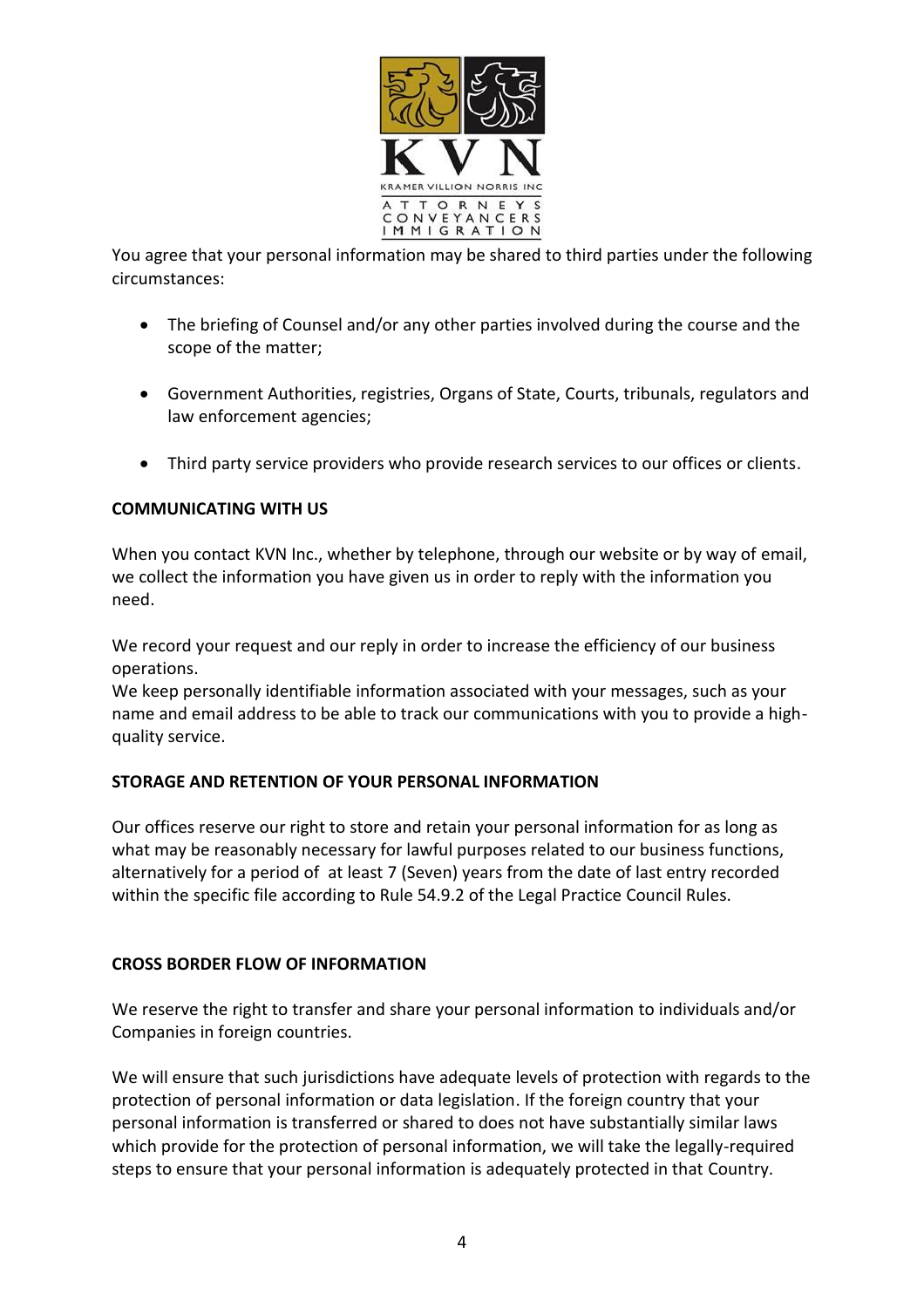

You agree that your personal information may be shared to third parties under the following circumstances:

- The briefing of Counsel and/or any other parties involved during the course and the scope of the matter;
- Government Authorities, registries, Organs of State, Courts, tribunals, regulators and law enforcement agencies;
- Third party service providers who provide research services to our offices or clients.

# **COMMUNICATING WITH US**

When you contact KVN Inc., whether by telephone, through our website or by way of email, we collect the information you have given us in order to reply with the information you need.

We record your request and our reply in order to increase the efficiency of our business operations.

We keep personally identifiable information associated with your messages, such as your name and email address to be able to track our communications with you to provide a highquality service.

# **STORAGE AND RETENTION OF YOUR PERSONAL INFORMATION**

Our offices reserve our right to store and retain your personal information for as long as what may be reasonably necessary for lawful purposes related to our business functions, alternatively for a period of at least 7 (Seven) years from the date of last entry recorded within the specific file according to Rule 54.9.2 of the Legal Practice Council Rules.

# **CROSS BORDER FLOW OF INFORMATION**

We reserve the right to transfer and share your personal information to individuals and/or Companies in foreign countries.

We will ensure that such jurisdictions have adequate levels of protection with regards to the protection of personal information or data legislation. If the foreign country that your personal information is transferred or shared to does not have substantially similar laws which provide for the protection of personal information, we will take the legally-required steps to ensure that your personal information is adequately protected in that Country.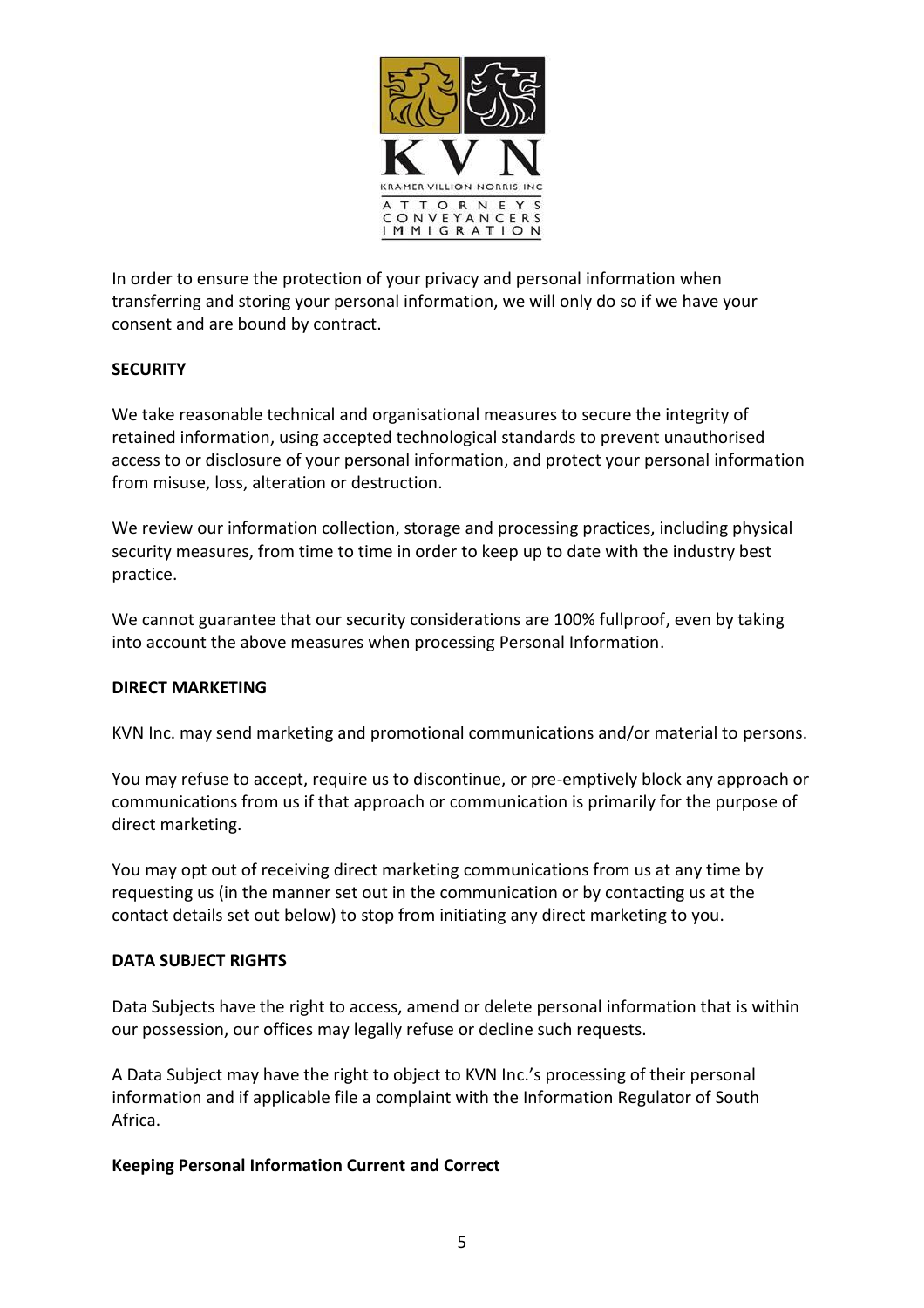

In order to ensure the protection of your privacy and personal information when transferring and storing your personal information, we will only do so if we have your consent and are bound by contract.

# **SECURITY**

We take reasonable technical and organisational measures to secure the integrity of retained information, using accepted technological standards to prevent unauthorised access to or disclosure of your personal information, and protect your personal information from misuse, loss, alteration or destruction.

We review our information collection, storage and processing practices, including physical security measures, from time to time in order to keep up to date with the industry best practice.

We cannot guarantee that our security considerations are 100% fullproof, even by taking into account the above measures when processing Personal Information.

### **DIRECT MARKETING**

KVN Inc. may send marketing and promotional communications and/or material to persons.

You may refuse to accept, require us to discontinue, or pre-emptively block any approach or communications from us if that approach or communication is primarily for the purpose of direct marketing.

You may opt out of receiving direct marketing communications from us at any time by requesting us (in the manner set out in the communication or by contacting us at the contact details set out below) to stop from initiating any direct marketing to you.

### **DATA SUBJECT RIGHTS**

Data Subjects have the right to access, amend or delete personal information that is within our possession, our offices may legally refuse or decline such requests.

A Data Subject may have the right to object to KVN Inc.'s processing of their personal information and if applicable file a complaint with the Information Regulator of South Africa.

### **Keeping Personal Information Current and Correct**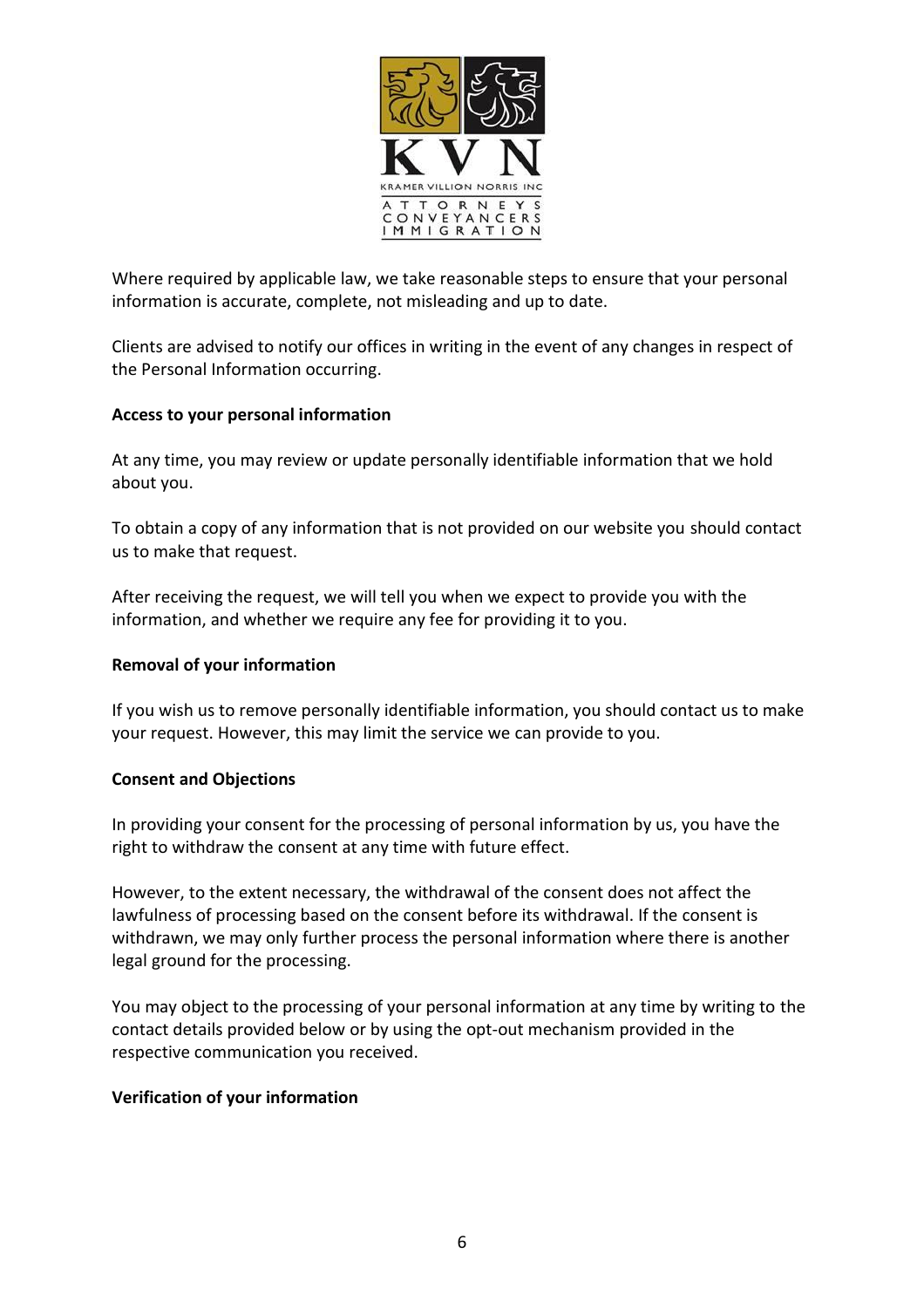

Where required by applicable law, we take reasonable steps to ensure that your personal information is accurate, complete, not misleading and up to date.

Clients are advised to notify our offices in writing in the event of any changes in respect of the Personal Information occurring.

### **Access to your personal information**

At any time, you may review or update personally identifiable information that we hold about you.

To obtain a copy of any information that is not provided on our website you should contact us to make that request.

After receiving the request, we will tell you when we expect to provide you with the information, and whether we require any fee for providing it to you.

### **Removal of your information**

If you wish us to remove personally identifiable information, you should contact us to make your request. However, this may limit the service we can provide to you.

### **Consent and Objections**

In providing your consent for the processing of personal information by us, you have the right to withdraw the consent at any time with future effect.

However, to the extent necessary, the withdrawal of the consent does not affect the lawfulness of processing based on the consent before its withdrawal. If the consent is withdrawn, we may only further process the personal information where there is another legal ground for the processing.

You may object to the processing of your personal information at any time by writing to the contact details provided below or by using the opt-out mechanism provided in the respective communication you received.

# **Verification of your information**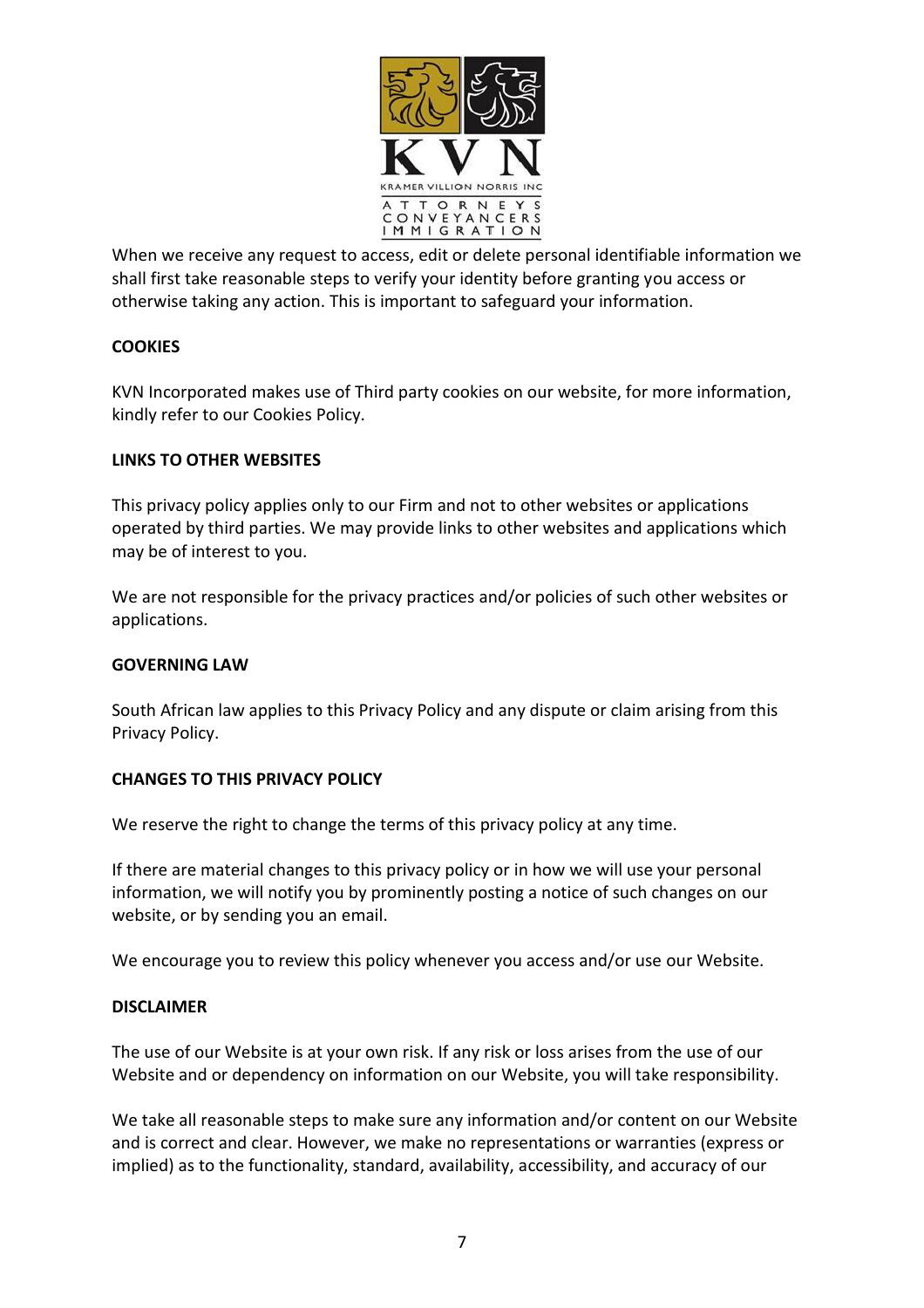

When we receive any request to access, edit or delete personal identifiable information we shall first take reasonable steps to verify your identity before granting you access or otherwise taking any action. This is important to safeguard your information.

# **COOKIES**

KVN Incorporated makes use of Third party cookies on our website, for more information, kindly refer to our Cookies Policy.

### **LINKS TO OTHER WEBSITES**

This privacy policy applies only to our Firm and not to other websites or applications operated by third parties. We may provide links to other websites and applications which may be of interest to you.

We are not responsible for the privacy practices and/or policies of such other websites or applications.

### **GOVERNING LAW**

South African law applies to this Privacy Policy and any dispute or claim arising from this Privacy Policy.

# **CHANGES TO THIS PRIVACY POLICY**

We reserve the right to change the terms of this privacy policy at any time.

If there are material changes to this privacy policy or in how we will use your personal information, we will notify you by prominently posting a notice of such changes on our website, or by sending you an email.

We encourage you to review this policy whenever you access and/or use our Website.

### **DISCLAIMER**

The use of our Website is at your own risk. If any risk or loss arises from the use of our Website and or dependency on information on our Website, you will take responsibility.

We take all reasonable steps to make sure any information and/or content on our Website and is correct and clear. However, we make no representations or warranties (express or implied) as to the functionality, standard, availability, accessibility, and accuracy of our